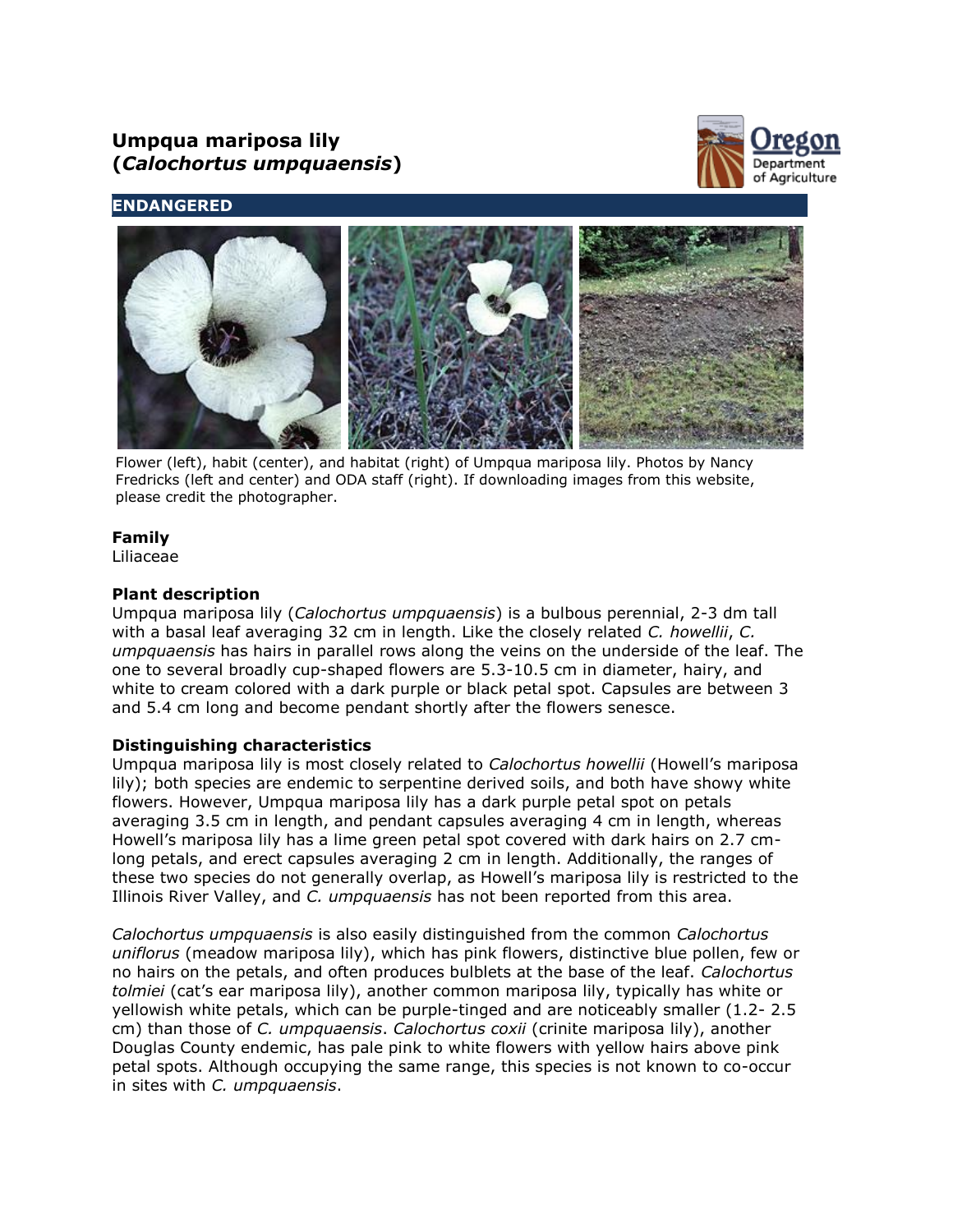# **Umpqua mariposa lily (***Calochortus umpquaensis***)**



# **ENDANGERED**



Flower (left), habit (center), and habitat (right) of Umpqua mariposa lily. Photos by Nancy Fredricks (left and center) and ODA staff (right). If downloading images from this website, please credit the photographer.

# **Family**

Liliaceae

# **Plant description**

Umpqua mariposa lily (*Calochortus umpquaensis*) is a bulbous perennial, 2-3 dm tall with a basal leaf averaging 32 cm in length. Like the closely related *C. howellii*, *C. umpquaensis* has hairs in parallel rows along the veins on the underside of the leaf. The one to several broadly cup-shaped flowers are 5.3-10.5 cm in diameter, hairy, and white to cream colored with a dark purple or black petal spot. Capsules are between 3 and 5.4 cm long and become pendant shortly after the flowers senesce.

# **Distinguishing characteristics**

Umpqua mariposa lily is most closely related to *Calochortus howellii* (Howell's mariposa lily); both species are endemic to serpentine derived soils, and both have showy white flowers. However, Umpqua mariposa lily has a dark purple petal spot on petals averaging 3.5 cm in length, and pendant capsules averaging 4 cm in length, whereas Howell's mariposa lily has a lime green petal spot covered with dark hairs on 2.7 cmlong petals, and erect capsules averaging 2 cm in length. Additionally, the ranges of these two species do not generally overlap, as Howell's mariposa lily is restricted to the Illinois River Valley, and *C. umpquaensis* has not been reported from this area.

*Calochortus umpquaensis* is also easily distinguished from the common *Calochortus uniflorus* (meadow mariposa lily), which has pink flowers, distinctive blue pollen, few or no hairs on the petals, and often produces bulblets at the base of the leaf. *Calochortus tolmiei* (cat's ear mariposa lily), another common mariposa lily, typically has white or yellowish white petals, which can be purple-tinged and are noticeably smaller (1.2- 2.5 cm) than those of *C. umpquaensis*. *Calochortus coxii* (crinite mariposa lily), another Douglas County endemic, has pale pink to white flowers with yellow hairs above pink petal spots. Although occupying the same range, this species is not known to co-occur in sites with *C. umpquaensis*.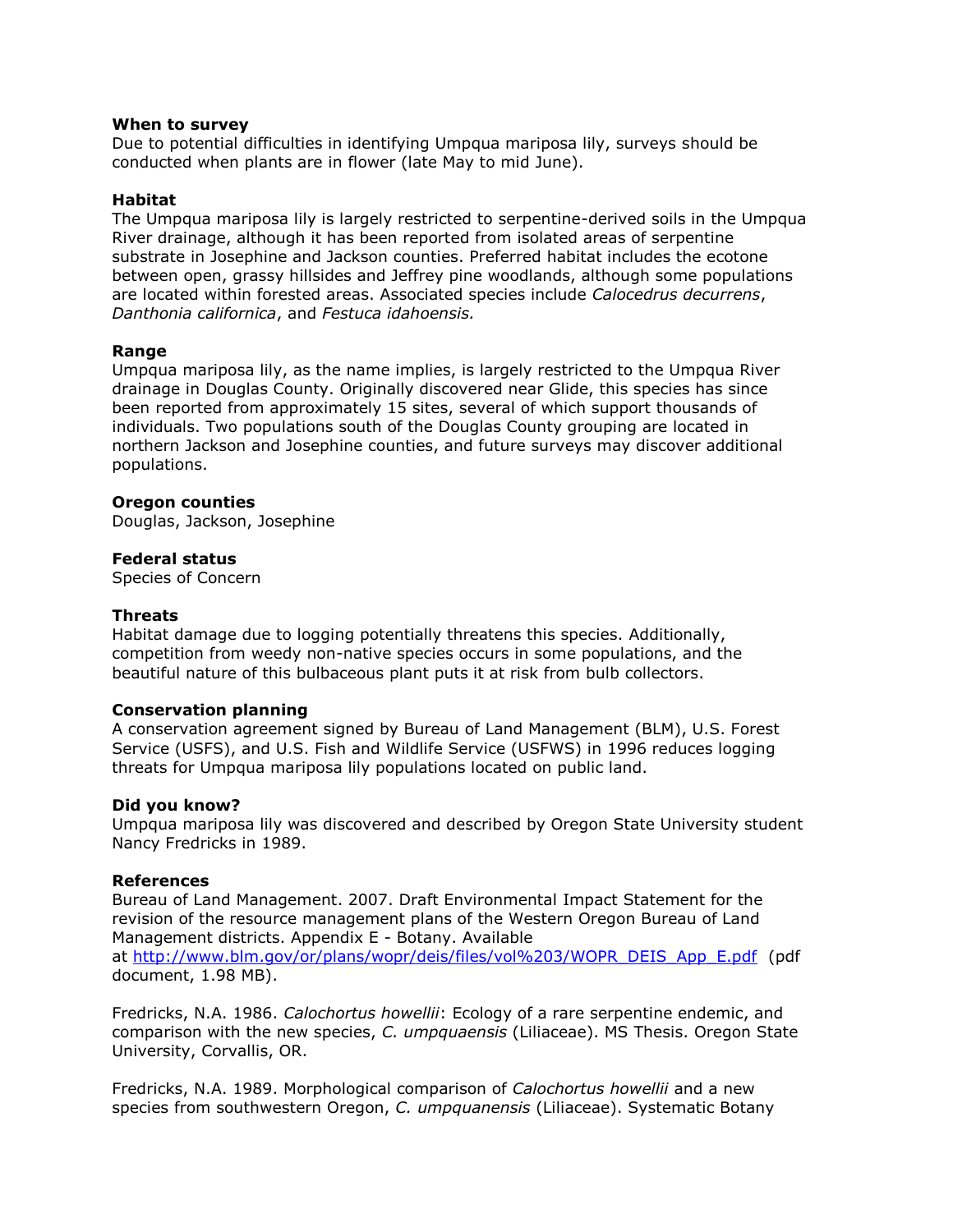#### **When to survey**

Due to potential difficulties in identifying Umpqua mariposa lily, surveys should be conducted when plants are in flower (late May to mid June).

# **Habitat**

The Umpqua mariposa lily is largely restricted to serpentine-derived soils in the Umpqua River drainage, although it has been reported from isolated areas of serpentine substrate in Josephine and Jackson counties. Preferred habitat includes the ecotone between open, grassy hillsides and Jeffrey pine woodlands, although some populations are located within forested areas. Associated species include *Calocedrus decurrens*, *Danthonia californica*, and *Festuca idahoensis.*

# **Range**

Umpqua mariposa lily, as the name implies, is largely restricted to the Umpqua River drainage in Douglas County. Originally discovered near Glide, this species has since been reported from approximately 15 sites, several of which support thousands of individuals. Two populations south of the Douglas County grouping are located in northern Jackson and Josephine counties, and future surveys may discover additional populations.

#### **Oregon counties**

Douglas, Jackson, Josephine

# **Federal status**

Species of Concern

### **Threats**

Habitat damage due to logging potentially threatens this species. Additionally, competition from weedy non-native species occurs in some populations, and the beautiful nature of this bulbaceous plant puts it at risk from bulb collectors.

#### **Conservation planning**

A conservation agreement signed by Bureau of Land Management (BLM), U.S. Forest Service (USFS), and U.S. Fish and Wildlife Service (USFWS) in 1996 reduces logging threats for Umpqua mariposa lily populations located on public land.

#### **Did you know?**

Umpqua mariposa lily was discovered and described by Oregon State University student Nancy Fredricks in 1989.

#### **References**

Bureau of Land Management. 2007. Draft Environmental Impact Statement for the revision of the resource management plans of the Western Oregon Bureau of Land Management districts. Appendix E - Botany. Available at [http://www.blm.gov/or/plans/wopr/deis/files/vol%203/WOPR\\_DEIS\\_App\\_E.pdf](http://www.blm.gov/or/plans/wopr/deis/files/vol%203/WOPR_DEIS_App_E.pdf) (pdf document, 1.98 MB).

Fredricks, N.A. 1986. *Calochortus howellii*: Ecology of a rare serpentine endemic, and comparison with the new species, *C. umpquaensis* (Liliaceae). MS Thesis. Oregon State University, Corvallis, OR.

Fredricks, N.A. 1989. Morphological comparison of *Calochortus howellii* and a new species from southwestern Oregon, *C. umpquanensis* (Liliaceae). Systematic Botany